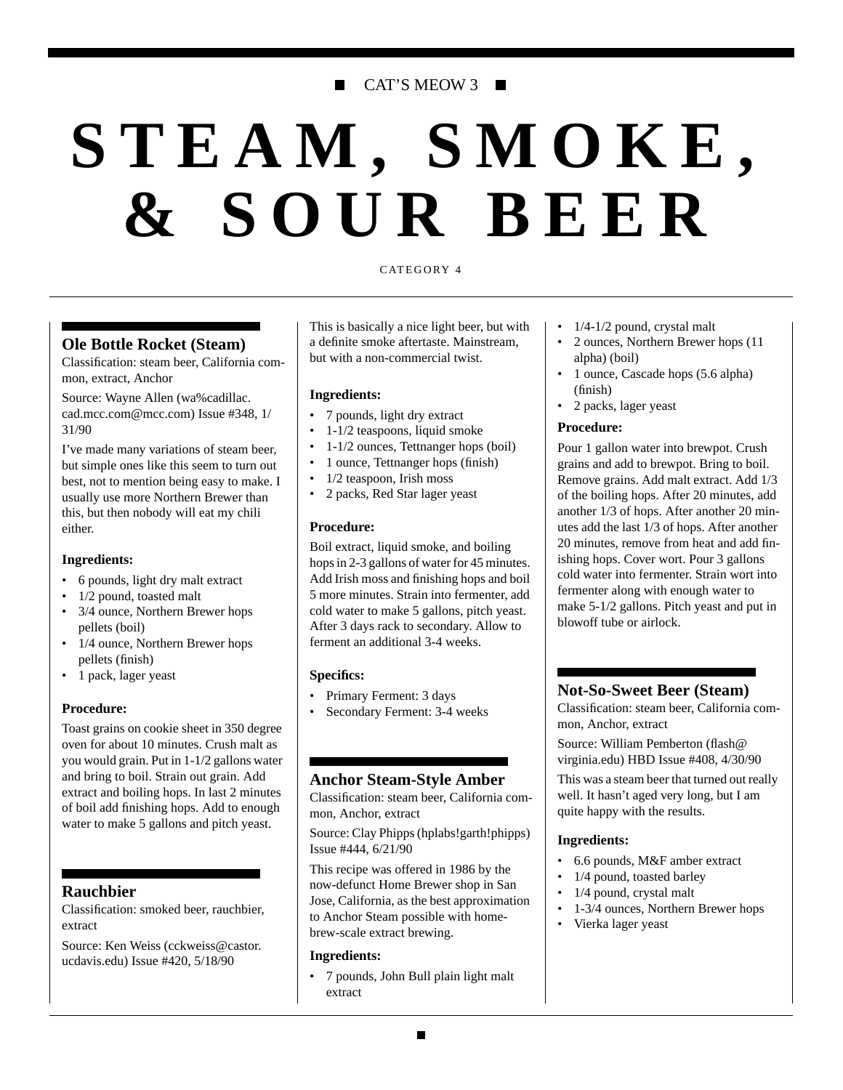# CAT'S MEOW 3 ■

# **STEAM, SMOKE, & SOUR BEER**

#### CATEGORY 4

## **Ole Bottle Rocket (Steam)**

Classification: steam beer, California common, extract, Anchor

Source: Wayne Allen (wa%cadillac. cad.mcc.com@mcc.com) Issue #348, 1/ 31/90

I've made many variations of steam beer, but simple ones like this seem to turn out best, not to mention being easy to make. I usually use more Northern Brewer than this, but then nobody will eat my chili either.

#### **Ingredients:**

- 6 pounds, light dry malt extract
- 1/2 pound, toasted malt
- 3/4 ounce, Northern Brewer hops pellets (boil)
- 1/4 ounce, Northern Brewer hops pellets (finish)
- 1 pack, lager yeast

#### **Procedure:**

Toast grains on cookie sheet in 350 degree oven for about 10 minutes. Crush malt as you would grain. Put in 1-1/2 gallons water and bring to boil. Strain out grain. Add extract and boiling hops. In last 2 minutes of boil add finishing hops. Add to enough water to make 5 gallons and pitch yeast.

#### **Rauchbier**

Classification: smoked beer, rauchbier, extract

Source: Ken Weiss (cckweiss@castor. ucdavis.edu) Issue #420, 5/18/90

This is basically a nice light beer, but with a definite smoke aftertaste. Mainstream, but with a non-commercial twist.

#### **Ingredients:**

- 7 pounds, light dry extract
- 1-1/2 teaspoons, liquid smoke
- 1-1/2 ounces, Tettnanger hops (boil)
- 1 ounce, Tettnanger hops (finish)
- 1/2 teaspoon, Irish moss
- 2 packs, Red Star lager yeast

#### **Procedure:**

Boil extract, liquid smoke, and boiling hops in 2-3 gallons of water for 45 minutes. Add Irish moss and finishing hops and boil 5 more minutes. Strain into fermenter, add cold water to make 5 gallons, pitch yeast. After 3 days rack to secondary. Allow to ferment an additional 3-4 weeks.

#### **Specifics:**

- Primary Ferment: 3 days
- Secondary Ferment: 3-4 weeks

# **Anchor Steam-Style Amber**

Classification: steam beer, California common, Anchor, extract

Source: Clay Phipps (hplabs!garth!phipps) Issue #444, 6/21/90

This recipe was offered in 1986 by the now-defunct Home Brewer shop in San Jose, California, as the best approximation to Anchor Steam possible with homebrew-scale extract brewing.

#### **Ingredients:**

• 7 pounds, John Bull plain light malt extract

- $\bullet$  1/4-1/2 pound, crystal malt
- 2 ounces, Northern Brewer hops (11 alpha) (boil)
- 1 ounce, Cascade hops (5.6 alpha) (finish)
- 2 packs, lager yeast

#### **Procedure:**

Pour 1 gallon water into brewpot. Crush grains and add to brewpot. Bring to boil. Remove grains. Add malt extract. Add 1/3 of the boiling hops. After 20 minutes, add another 1/3 of hops. After another 20 minutes add the last 1/3 of hops. After another 20 minutes, remove from heat and add finishing hops. Cover wort. Pour 3 gallons cold water into fermenter. Strain wort into fermenter along with enough water to make 5-1/2 gallons. Pitch yeast and put in blowoff tube or airlock.

#### **Not-So-Sweet Beer (Steam)**

Classification: steam beer, California common, Anchor, extract

Source: William Pemberton (flash@ virginia.edu) HBD Issue #408, 4/30/90

This was a steam beer that turned out really well. It hasn't aged very long, but I am quite happy with the results.

#### **Ingredients:**

- 6.6 pounds, M&F amber extract
- 1/4 pound, toasted barley
- 1/4 pound, crystal malt
- 1-3/4 ounces, Northern Brewer hops
- Vierka lager yeast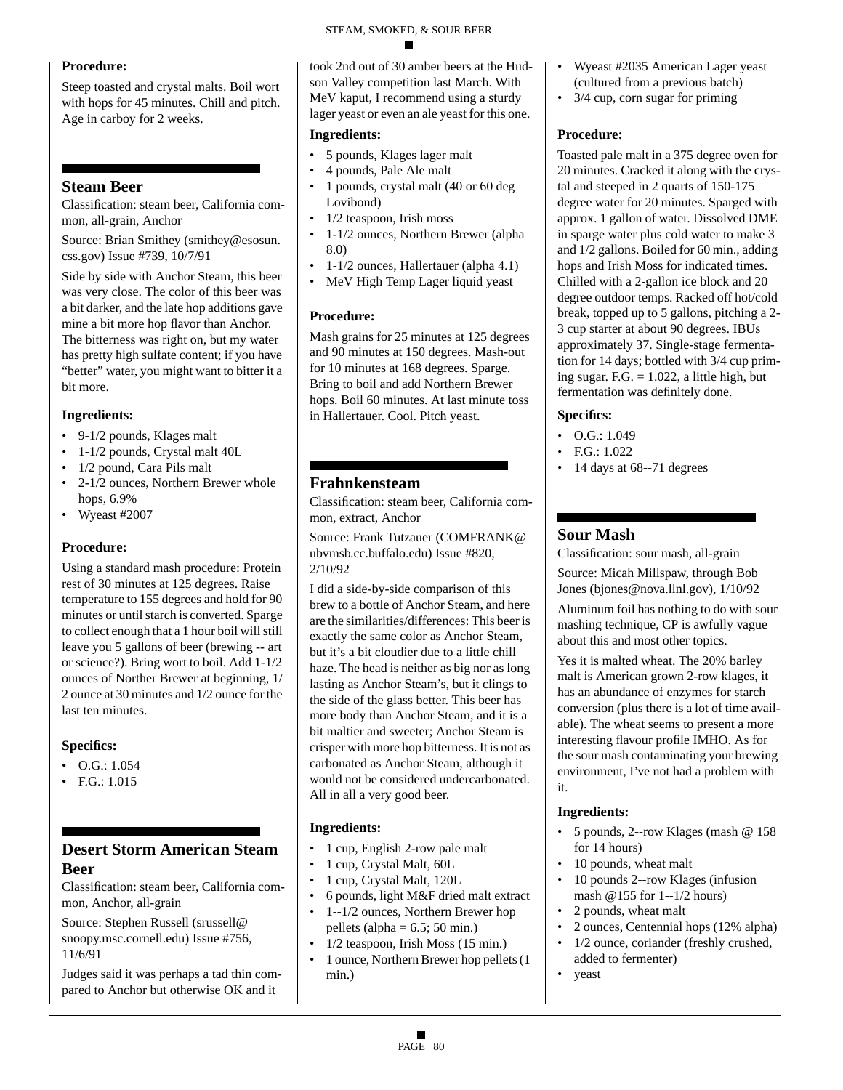## **Procedure:**

Steep toasted and crystal malts. Boil wort with hops for 45 minutes. Chill and pitch. Age in carboy for 2 weeks.

# **Steam Beer**

Classification: steam beer, California common, all-grain, Anchor

Source: Brian Smithey (smithey@esosun. css.gov) Issue #739, 10/7/91

Side by side with Anchor Steam, this beer was very close. The color of this beer was a bit darker, and the late hop additions gave mine a bit more hop flavor than Anchor. The bitterness was right on, but my water has pretty high sulfate content; if you have "better" water, you might want to bitter it a bit more.

# **Ingredients:**

- 9-1/2 pounds, Klages malt
- 1-1/2 pounds, Crystal malt 40L
- 1/2 pound, Cara Pils malt
- 2-1/2 ounces, Northern Brewer whole hops, 6.9%
- Wyeast #2007

# **Procedure:**

Using a standard mash procedure: Protein rest of 30 minutes at 125 degrees. Raise temperature to 155 degrees and hold for 90 minutes or until starch is converted. Sparge to collect enough that a 1 hour boil will still leave you 5 gallons of beer (brewing -- art or science?). Bring wort to boil. Add 1-1/2 ounces of Norther Brewer at beginning, 1/ 2 ounce at 30 minutes and 1/2 ounce for the last ten minutes.

# **Specifics:**

- O.G.: 1.054
- F.G.: 1.015

# **Desert Storm American Steam Beer**

Classification: steam beer, California common, Anchor, all-grain

Source: Stephen Russell (srussell@ snoopy.msc.cornell.edu) Issue #756, 11/6/91

Judges said it was perhaps a tad thin compared to Anchor but otherwise OK and it

took 2nd out of 30 amber beers at the Hudson Valley competition last March. With MeV kaput, I recommend using a sturdy lager yeast or even an ale yeast for this one.

## **Ingredients:**

- 5 pounds, Klages lager malt
- 4 pounds, Pale Ale malt
- 1 pounds, crystal malt (40 or 60 deg Lovibond)
- 1/2 teaspoon, Irish moss
- 1-1/2 ounces, Northern Brewer (alpha 8.0)
- 1-1/2 ounces, Hallertauer (alpha 4.1)
- MeV High Temp Lager liquid yeast

# **Procedure:**

Mash grains for 25 minutes at 125 degrees and 90 minutes at 150 degrees. Mash-out for 10 minutes at 168 degrees. Sparge. Bring to boil and add Northern Brewer hops. Boil 60 minutes. At last minute toss in Hallertauer. Cool. Pitch yeast.

# **Frahnkensteam**

Classification: steam beer, California common, extract, Anchor

Source: Frank Tutzauer (COMFRANK@ ubvmsb.cc.buffalo.edu) Issue #820, 2/10/92

I did a side-by-side comparison of this brew to a bottle of Anchor Steam, and here are the similarities/differences: This beer is exactly the same color as Anchor Steam, but it's a bit cloudier due to a little chill haze. The head is neither as big nor as long lasting as Anchor Steam's, but it clings to the side of the glass better. This beer has more body than Anchor Steam, and it is a bit maltier and sweeter; Anchor Steam is crisper with more hop bitterness. It is not as carbonated as Anchor Steam, although it would not be considered undercarbonated. All in all a very good beer.

# **Ingredients:**

- 1 cup, English 2-row pale malt
- 1 cup, Crystal Malt, 60L
- 1 cup, Crystal Malt, 120L
- 6 pounds, light M&F dried malt extract
- 1--1/2 ounces, Northern Brewer hop pellets (alpha =  $6.5$ ; 50 min.)
- 1/2 teaspoon, Irish Moss (15 min.)
- 1 ounce, Northern Brewer hop pellets (1 min.)
- Wyeast #2035 American Lager yeast (cultured from a previous batch)
- 3/4 cup, corn sugar for priming

# **Procedure:**

Toasted pale malt in a 375 degree oven for 20 minutes. Cracked it along with the crystal and steeped in 2 quarts of 150-175 degree water for 20 minutes. Sparged with approx. 1 gallon of water. Dissolved DME in sparge water plus cold water to make 3 and 1/2 gallons. Boiled for 60 min., adding hops and Irish Moss for indicated times. Chilled with a 2-gallon ice block and 20 degree outdoor temps. Racked off hot/cold break, topped up to 5 gallons, pitching a 2- 3 cup starter at about 90 degrees. IBUs approximately 37. Single-stage fermentation for 14 days; bottled with 3/4 cup priming sugar. F.G.  $= 1.022$ , a little high, but fermentation was definitely done.

# **Specifics:**

- $\bullet$  O.G.: 1.049
- F.G.: 1.022
- 14 days at 68--71 degrees

# **Sour Mash**

Classification: sour mash, all-grain

Source: Micah Millspaw, through Bob Jones (bjones@nova.llnl.gov), 1/10/92

Aluminum foil has nothing to do with sour mashing technique, CP is awfully vague about this and most other topics.

Yes it is malted wheat. The 20% barley malt is American grown 2-row klages, it has an abundance of enzymes for starch conversion (plus there is a lot of time available). The wheat seems to present a more interesting flavour profile IMHO. As for the sour mash contaminating your brewing environment, I've not had a problem with it.

# **Ingredients:**

- 5 pounds, 2--row Klages (mash @ 158 for 14 hours)
- 10 pounds, wheat malt
- 10 pounds 2--row Klages (infusion mash @155 for 1--1/2 hours)
- 2 pounds, wheat malt
- 2 ounces, Centennial hops (12% alpha)
- 1/2 ounce, coriander (freshly crushed,
- added to fermenter) • yeast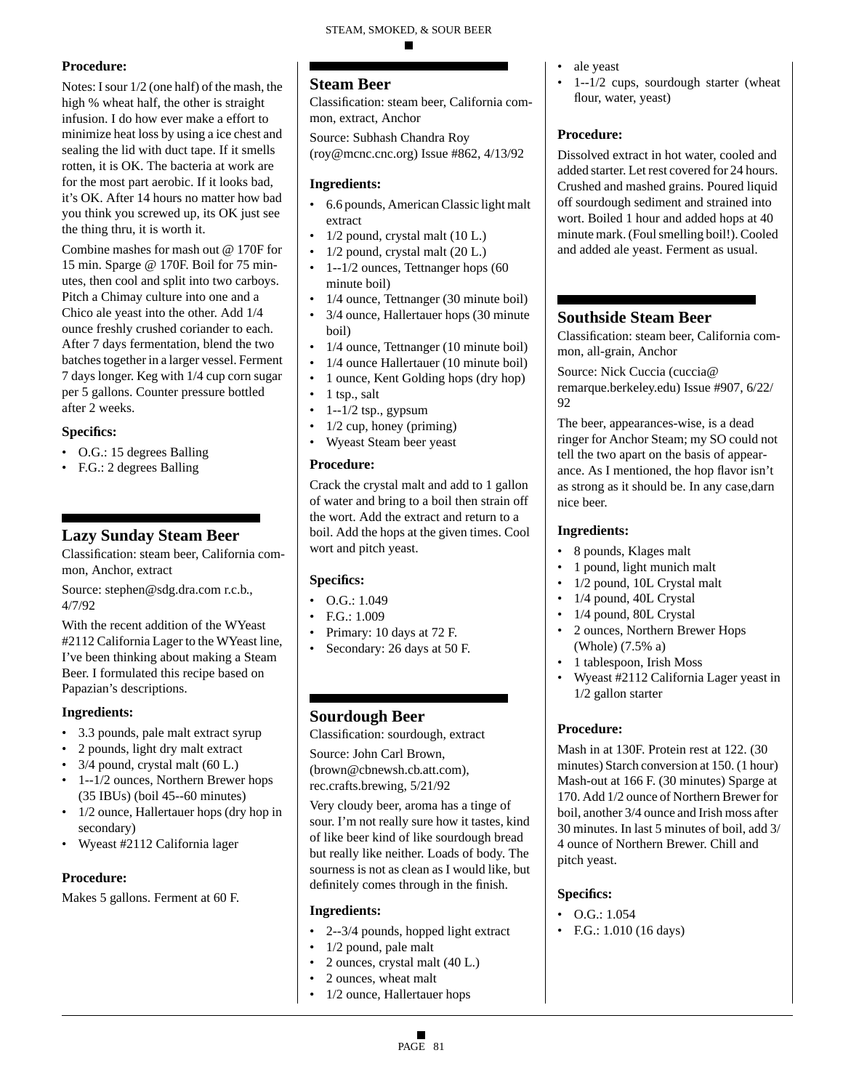## **Procedure:**

Notes: I sour 1/2 (one half) of the mash, the high % wheat half, the other is straight infusion. I do how ever make a effort to minimize heat loss by using a ice chest and sealing the lid with duct tape. If it smells rotten, it is OK. The bacteria at work are for the most part aerobic. If it looks bad, it's OK. After 14 hours no matter how bad you think you screwed up, its OK just see the thing thru, it is worth it.

Combine mashes for mash out @ 170F for 15 min. Sparge @ 170F. Boil for 75 minutes, then cool and split into two carboys. Pitch a Chimay culture into one and a Chico ale yeast into the other. Add 1/4 ounce freshly crushed coriander to each. After 7 days fermentation, blend the two batches together in a larger vessel. Ferment 7 days longer. Keg with 1/4 cup corn sugar per 5 gallons. Counter pressure bottled after 2 weeks.

#### **Specifics:**

- O.G.: 15 degrees Balling
- F.G.: 2 degrees Balling

# **Lazy Sunday Steam Beer**

Classification: steam beer, California common, Anchor, extract

Source: stephen@sdg.dra.com r.c.b., 4/7/92

With the recent addition of the WYeast #2112 California Lager to the WYeast line, I've been thinking about making a Steam Beer. I formulated this recipe based on Papazian's descriptions.

#### **Ingredients:**

- 3.3 pounds, pale malt extract syrup
- 2 pounds, light dry malt extract
- 3/4 pound, crystal malt (60 L.)
- 1--1/2 ounces, Northern Brewer hops (35 IBUs) (boil 45--60 minutes)
- 1/2 ounce, Hallertauer hops (dry hop in secondary)
- Wyeast #2112 California lager

## **Procedure:**

Makes 5 gallons. Ferment at 60 F.

# **Steam Beer**

Classification: steam beer, California common, extract, Anchor

Source: Subhash Chandra Roy (roy@mcnc.cnc.org) Issue #862, 4/13/92

#### **Ingredients:**

- 6.6 pounds, American Classic light malt extract
- $1/2$  pound, crystal malt  $(10 L)$ .
- 1/2 pound, crystal malt (20 L.)
- 1--1/2 ounces, Tettnanger hops (60 minute boil)
- 1/4 ounce, Tettnanger (30 minute boil)
- 3/4 ounce, Hallertauer hops (30 minute boil)
- 1/4 ounce, Tettnanger (10 minute boil)
- 1/4 ounce Hallertauer (10 minute boil)
- 1 ounce, Kent Golding hops (dry hop)
- 1 tsp., salt
- 1--1/2 tsp., gypsum
- 1/2 cup, honey (priming)
- Wyeast Steam beer yeast

#### **Procedure:**

Crack the crystal malt and add to 1 gallon of water and bring to a boil then strain off the wort. Add the extract and return to a boil. Add the hops at the given times. Cool wort and pitch yeast.

#### **Specifics:**

- $\bullet$  O.G.: 1.049
- F.G.: 1.009
- Primary: 10 days at 72 F.
- Secondary: 26 days at 50 F.

# **Sourdough Beer**

Classification: sourdough, extract

Source: John Carl Brown, (brown@cbnewsh.cb.att.com), rec.crafts.brewing, 5/21/92

Very cloudy beer, aroma has a tinge of sour. I'm not really sure how it tastes, kind of like beer kind of like sourdough bread but really like neither. Loads of body. The sourness is not as clean as I would like, but definitely comes through in the finish.

#### **Ingredients:**

- 2--3/4 pounds, hopped light extract
- 1/2 pound, pale malt
- 2 ounces, crystal malt (40 L.)
- 2 ounces, wheat malt
- 1/2 ounce, Hallertauer hops
- ale yeast
- 1--1/2 cups, sourdough starter (wheat flour, water, yeast)

#### **Procedure:**

Dissolved extract in hot water, cooled and added starter. Let rest covered for 24 hours. Crushed and mashed grains. Poured liquid off sourdough sediment and strained into wort. Boiled 1 hour and added hops at 40 minute mark. (Foul smelling boil!). Cooled and added ale yeast. Ferment as usual.

# **Southside Steam Beer**

Classification: steam beer, California common, all-grain, Anchor

Source: Nick Cuccia (cuccia@ remarque.berkeley.edu) Issue #907, 6/22/ 92

The beer, appearances-wise, is a dead ringer for Anchor Steam; my SO could not tell the two apart on the basis of appearance. As I mentioned, the hop flavor isn't as strong as it should be. In any case,darn nice beer.

#### **Ingredients:**

- 8 pounds, Klages malt
- 1 pound, light munich malt
- 1/2 pound, 10L Crystal malt
- 1/4 pound, 40L Crystal
- 1/4 pound, 80L Crystal
- 2 ounces, Northern Brewer Hops (Whole) (7.5% a)
- 1 tablespoon, Irish Moss
- Wyeast #2112 California Lager yeast in 1/2 gallon starter

#### **Procedure:**

Mash in at 130F. Protein rest at 122. (30 minutes) Starch conversion at 150. (1 hour) Mash-out at 166 F. (30 minutes) Sparge at 170. Add 1/2 ounce of Northern Brewer for boil, another 3/4 ounce and Irish moss after 30 minutes. In last 5 minutes of boil, add 3/ 4 ounce of Northern Brewer. Chill and pitch yeast.

#### **Specifics:**

- O.G.: 1.054
- F.G.: 1.010 (16 days)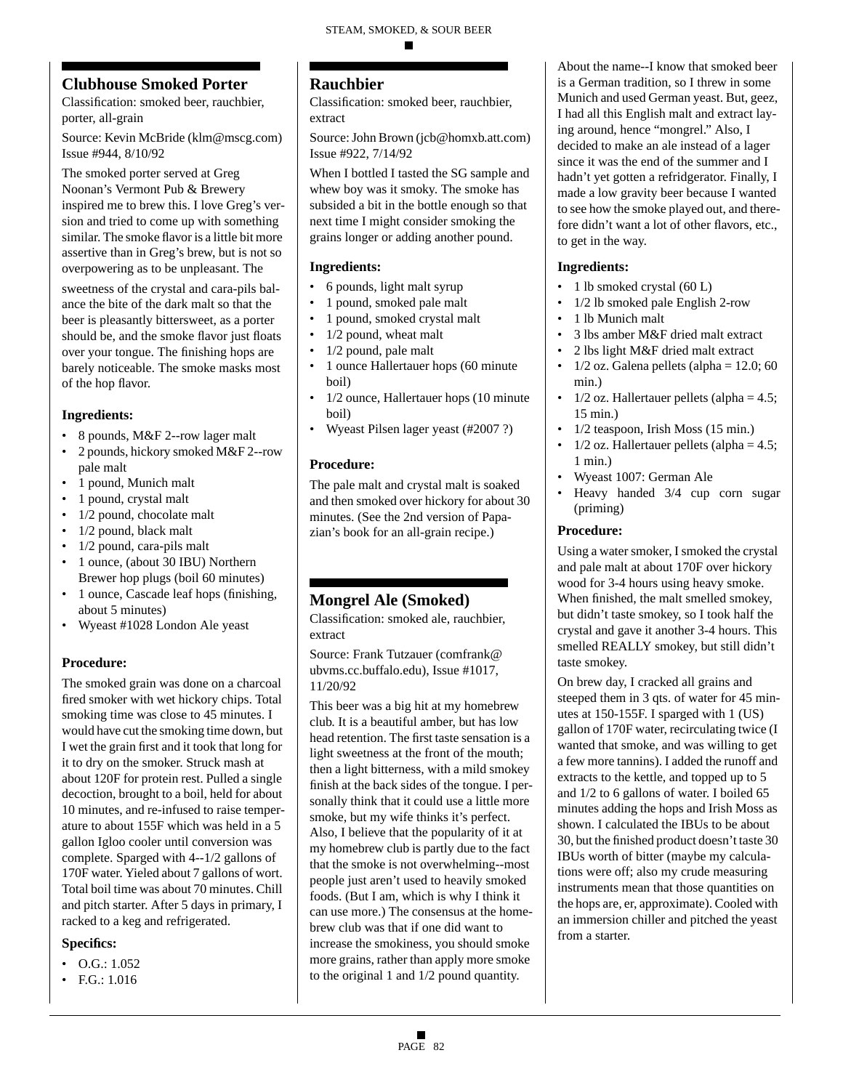# **Clubhouse Smoked Porter**

Classification: smoked beer, rauchbier, porter, all-grain

Source: Kevin McBride (klm@mscg.com) Issue #944, 8/10/92

The smoked porter served at Greg Noonan's Vermont Pub & Brewery inspired me to brew this. I love Greg's version and tried to come up with something similar. The smoke flavor is a little bit more assertive than in Greg's brew, but is not so overpowering as to be unpleasant. The

sweetness of the crystal and cara-pils balance the bite of the dark malt so that the beer is pleasantly bittersweet, as a porter should be, and the smoke flavor just floats over your tongue. The finishing hops are barely noticeable. The smoke masks most of the hop flavor.

## **Ingredients:**

- 8 pounds, M&F 2--row lager malt
- 2 pounds, hickory smoked M&F 2--row pale malt
- 1 pound, Munich malt
- 1 pound, crystal malt
- 1/2 pound, chocolate malt
- 1/2 pound, black malt
- 1/2 pound, cara-pils malt
- 1 ounce, (about 30 IBU) Northern Brewer hop plugs (boil 60 minutes)
- 1 ounce, Cascade leaf hops (finishing, about 5 minutes)
- Wyeast #1028 London Ale yeast

# **Procedure:**

The smoked grain was done on a charcoal fired smoker with wet hickory chips. Total smoking time was close to 45 minutes. I would have cut the smoking time down, but I wet the grain first and it took that long for it to dry on the smoker. Struck mash at about 120F for protein rest. Pulled a single decoction, brought to a boil, held for about 10 minutes, and re-infused to raise temperature to about 155F which was held in a 5 gallon Igloo cooler until conversion was complete. Sparged with 4--1/2 gallons of 170F water. Yieled about 7 gallons of wort. Total boil time was about 70 minutes. Chill and pitch starter. After 5 days in primary, I racked to a keg and refrigerated.

#### **Specifics:**

- $\bullet$  O.G.: 1.052
- F.G.: 1.016

# **Rauchbier**

Classification: smoked beer, rauchbier, extract

Source: John Brown (jcb@homxb.att.com) Issue #922, 7/14/92

When I bottled I tasted the SG sample and whew boy was it smoky. The smoke has subsided a bit in the bottle enough so that next time I might consider smoking the grains longer or adding another pound.

## **Ingredients:**

- 6 pounds, light malt syrup
- 1 pound, smoked pale malt
- 1 pound, smoked crystal malt
- 1/2 pound, wheat malt
- 1/2 pound, pale malt
- 1 ounce Hallertauer hops (60 minute boil)
- 1/2 ounce, Hallertauer hops (10 minute boil)
- Wyeast Pilsen lager yeast (#2007 ?)

## **Procedure:**

The pale malt and crystal malt is soaked and then smoked over hickory for about 30 minutes. (See the 2nd version of Papazian's book for an all-grain recipe.)

# **Mongrel Ale (Smoked)**

Classification: smoked ale, rauchbier, extract

Source: Frank Tutzauer (comfrank@ ubvms.cc.buffalo.edu), Issue #1017, 11/20/92

This beer was a big hit at my homebrew club. It is a beautiful amber, but has low head retention. The first taste sensation is a light sweetness at the front of the mouth; then a light bitterness, with a mild smokey finish at the back sides of the tongue. I personally think that it could use a little more smoke, but my wife thinks it's perfect. Also, I believe that the popularity of it at my homebrew club is partly due to the fact that the smoke is not overwhelming--most people just aren't used to heavily smoked foods. (But I am, which is why I think it can use more.) The consensus at the homebrew club was that if one did want to increase the smokiness, you should smoke more grains, rather than apply more smoke to the original 1 and 1/2 pound quantity.

About the name--I know that smoked beer is a German tradition, so I threw in some Munich and used German yeast. But, geez, I had all this English malt and extract laying around, hence "mongrel." Also, I decided to make an ale instead of a lager since it was the end of the summer and I hadn't yet gotten a refridgerator. Finally, I made a low gravity beer because I wanted to see how the smoke played out, and therefore didn't want a lot of other flavors, etc., to get in the way.

#### **Ingredients:**

- 1 lb smoked crystal (60 L)
- 1/2 lb smoked pale English 2-row
- 1 lb Munich malt
- 3 lbs amber M&F dried malt extract
- 2 lbs light M&F dried malt extract
- 1/2 oz. Galena pellets (alpha =  $12.0$ ; 60 min.)
- 1/2 oz. Hallertauer pellets (alpha  $= 4.5$ ; 15 min.)
- 1/2 teaspoon, Irish Moss (15 min.)
- $1/2$  oz. Hallertauer pellets (alpha = 4.5; 1 min.)
- Wyeast 1007: German Ale
- Heavy handed 3/4 cup corn sugar (priming)

## **Procedure:**

Using a water smoker, I smoked the crystal and pale malt at about 170F over hickory wood for 3-4 hours using heavy smoke. When finished, the malt smelled smokey, but didn't taste smokey, so I took half the crystal and gave it another 3-4 hours. This smelled REALLY smokey, but still didn't taste smokey.

On brew day, I cracked all grains and steeped them in 3 qts. of water for 45 minutes at 150-155F. I sparged with 1 (US) gallon of 170F water, recirculating twice (I wanted that smoke, and was willing to get a few more tannins). I added the runoff and extracts to the kettle, and topped up to 5 and 1/2 to 6 gallons of water. I boiled 65 minutes adding the hops and Irish Moss as shown. I calculated the IBUs to be about 30, but the finished product doesn't taste 30 IBUs worth of bitter (maybe my calculations were off; also my crude measuring instruments mean that those quantities on the hops are, er, approximate). Cooled with an immersion chiller and pitched the yeast from a starter.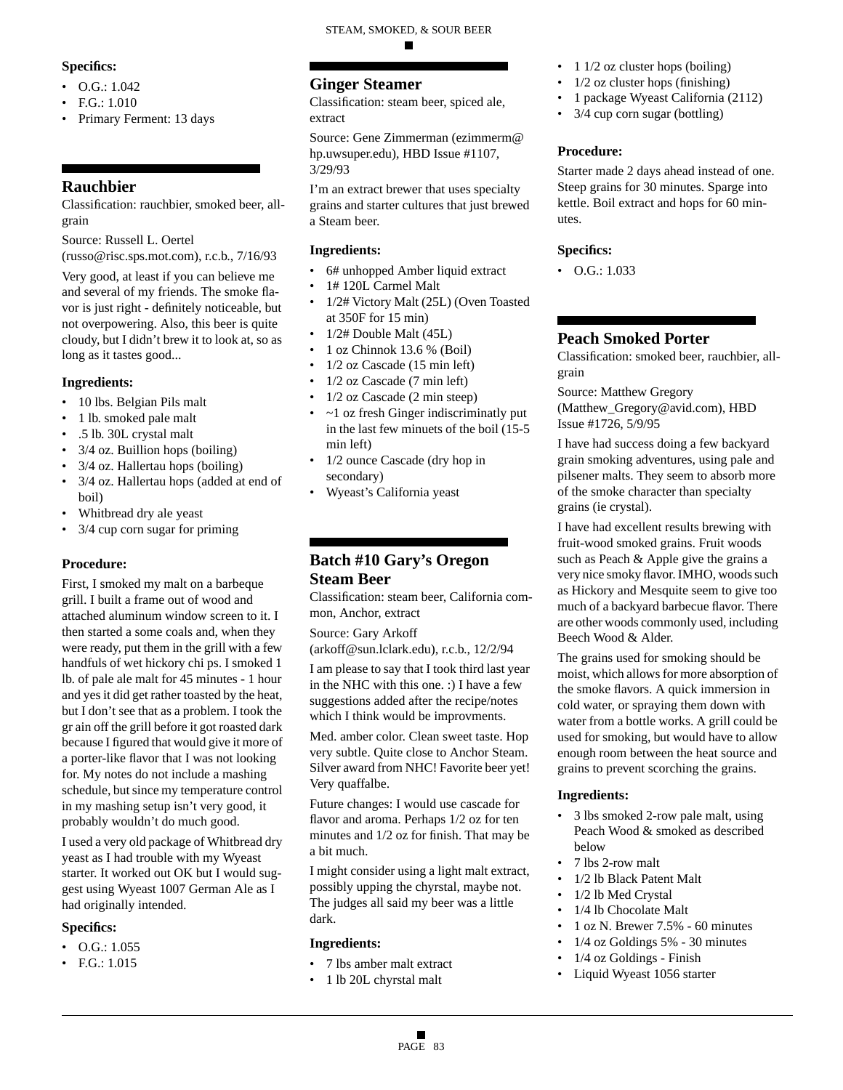## **Specifics:**

- O.G.: 1.042
- $FG: 1.010$
- Primary Ferment: 13 days

# **Rauchbier**

Classification: rauchbier, smoked beer, allgrain

Source: Russell L. Oertel

(russo@risc.sps.mot.com), r.c.b., 7/16/93

Very good, at least if you can believe me and several of my friends. The smoke flavor is just right - definitely noticeable, but not overpowering. Also, this beer is quite cloudy, but I didn't brew it to look at, so as long as it tastes good...

## **Ingredients:**

- 10 lbs. Belgian Pils malt
- 1 lb. smoked pale malt
- .5 lb. 30L crystal malt
- 3/4 oz. Buillion hops (boiling)
- 3/4 oz. Hallertau hops (boiling)
- 3/4 oz. Hallertau hops (added at end of boil)
- Whitbread dry ale yeast
- 3/4 cup corn sugar for priming

#### **Procedure:**

First, I smoked my malt on a barbeque grill. I built a frame out of wood and attached aluminum window screen to it. I then started a some coals and, when they were ready, put them in the grill with a few handfuls of wet hickory chi ps. I smoked 1 lb. of pale ale malt for 45 minutes - 1 hour and yes it did get rather toasted by the heat, but I don't see that as a problem. I took the gr ain off the grill before it got roasted dark because I figured that would give it more of a porter-like flavor that I was not looking for. My notes do not include a mashing schedule, but since my temperature control in my mashing setup isn't very good, it probably wouldn't do much good.

I used a very old package of Whitbread dry yeast as I had trouble with my Wyeast starter. It worked out OK but I would suggest using Wyeast 1007 German Ale as I had originally intended.

## **Specifics:**

- O.G.: 1.055
- F.G.: 1.015

# **Ginger Steamer**

Classification: steam beer, spiced ale, extract

Source: Gene Zimmerman (ezimmerm@ hp.uwsuper.edu), HBD Issue #1107, 3/29/93

I'm an extract brewer that uses specialty grains and starter cultures that just brewed a Steam beer.

#### **Ingredients:**

- 6# unhopped Amber liquid extract
- 1# 120L Carmel Malt
- 1/2# Victory Malt (25L) (Oven Toasted at 350F for 15 min)
- 1/2# Double Malt (45L)
- 1 oz Chinnok 13.6 % (Boil)
- 1/2 oz Cascade (15 min left)
- $1/2$  oz Cascade (7 min left)
- 1/2 oz Cascade (2 min steep)
- ~1 oz fresh Ginger indiscriminatly put in the last few minuets of the boil (15-5 min left)
- 1/2 ounce Cascade (dry hop in secondary)
- Wyeast's California yeast

# **Batch #10 Gary's Oregon Steam Beer**

Classification: steam beer, California common, Anchor, extract

Source: Gary Arkoff (arkoff@sun.lclark.edu), r.c.b., 12/2/94

I am please to say that I took third last year in the NHC with this one. :) I have a few suggestions added after the recipe/notes which I think would be improvments.

Med. amber color. Clean sweet taste. Hop very subtle. Quite close to Anchor Steam. Silver award from NHC! Favorite beer yet! Very quaffalbe.

Future changes: I would use cascade for flavor and aroma. Perhaps 1/2 oz for ten minutes and 1/2 oz for finish. That may be a bit much.

I might consider using a light malt extract, possibly upping the chyrstal, maybe not. The judges all said my beer was a little dark.

#### **Ingredients:**

- 7 lbs amber malt extract
- 1 lb 20L chyrstal malt
- 1  $1/2$  oz cluster hops (boiling)
- 1/2 oz cluster hops (finishing)
- 1 package Wyeast California (2112)
- 3/4 cup corn sugar (bottling)

## **Procedure:**

Starter made 2 days ahead instead of one. Steep grains for 30 minutes. Sparge into kettle. Boil extract and hops for 60 minutes.

#### **Specifics:**

 $\bullet$  O.G.: 1.033

## **Peach Smoked Porter**

Classification: smoked beer, rauchbier, allgrain

Source: Matthew Gregory (Matthew\_Gregory@avid.com), HBD Issue #1726, 5/9/95

I have had success doing a few backyard grain smoking adventures, using pale and pilsener malts. They seem to absorb more of the smoke character than specialty grains (ie crystal).

I have had excellent results brewing with fruit-wood smoked grains. Fruit woods such as Peach & Apple give the grains a very nice smoky flavor. IMHO, woods such as Hickory and Mesquite seem to give too much of a backyard barbecue flavor. There are other woods commonly used, including Beech Wood & Alder.

The grains used for smoking should be moist, which allows for more absorption of the smoke flavors. A quick immersion in cold water, or spraying them down with water from a bottle works. A grill could be used for smoking, but would have to allow enough room between the heat source and grains to prevent scorching the grains.

#### **Ingredients:**

- 3 lbs smoked 2-row pale malt, using Peach Wood & smoked as described below
- 7 lbs 2-row malt
- 1/2 lb Black Patent Malt
- 1/2 lb Med Crystal
- 1/4 lb Chocolate Malt
- 1 oz N. Brewer 7.5% 60 minutes
- 1/4 oz Goldings 5% 30 minutes
- 1/4 oz Goldings Finish
- Liquid Wyeast 1056 starter